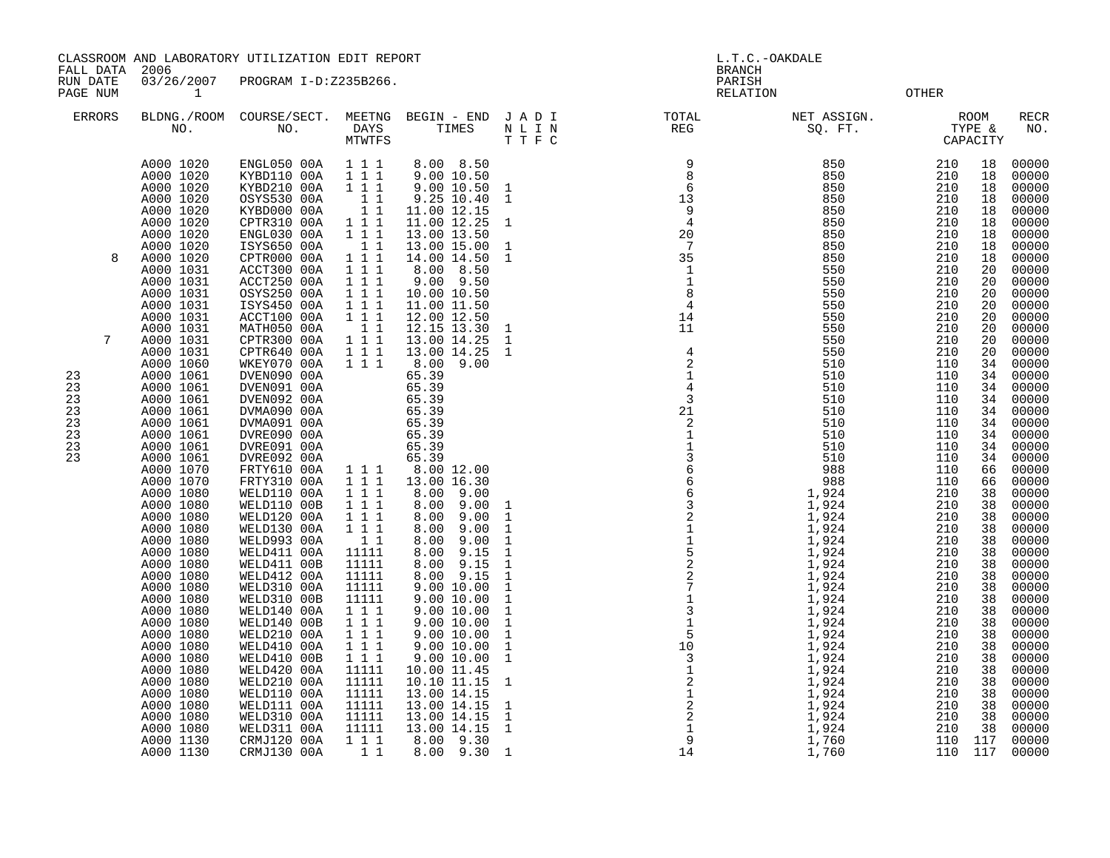CLASSROOM AND LABORATORY UTILIZATION EDIT REPORT AND REPORT THE SERVICE OF L.T.C.-OAKDALE

FALL DATA 2006 BRANCH

RUN DATE 03/26/2007 PROGRAM I-D:Z235B266.<br>PAGE NUM 1 PAGE NUM 1 RELATION OTHER

| <b>ERRORS</b>                                          | BLDNG./ROOM<br>NO.                                                                                                                                                                                                                                                                                                                                                                                                                                                                                                                                                                                                                                                                  | COURSE/SECT.<br>NO.                                                                                                                                                                                                                                                                                                                                                                                                                                                                                                                                                                                                                                                                                                                                                                       | MEETNG<br>DAYS<br>MTWTFS                                                                                                                                                                                                                                                                                                                                                                                                                                                                                                                                                                                                                                                                         | BEGIN - END<br>TIMES                                                                                                                                                                                                                                                                                                                                                                                                                                                                                                                                                                                                                                                                                                          | JADI<br>$\hbox{N}$ L I $\hbox{N}$<br>TTFC                                                                                                                                                                                                                                                                                                                                                                                 | TOTAL<br>REG                                                                                                                                                                                                                                                                                                                                                                                                                                | NET ASSIGN.<br>SQ. FT.                                                                                                                                                                                                                                                                                                                                                                                                                                    | TYPE &                                                                                                                                                                                                                                                                                                                                                            | <b>ROOM</b><br>CAPACITY                                                                                                                                                                                                                                                                                          | RECR<br>NO.                                                                                                                                                                                                                                                                                                                                                                                                                                                             |
|--------------------------------------------------------|-------------------------------------------------------------------------------------------------------------------------------------------------------------------------------------------------------------------------------------------------------------------------------------------------------------------------------------------------------------------------------------------------------------------------------------------------------------------------------------------------------------------------------------------------------------------------------------------------------------------------------------------------------------------------------------|-------------------------------------------------------------------------------------------------------------------------------------------------------------------------------------------------------------------------------------------------------------------------------------------------------------------------------------------------------------------------------------------------------------------------------------------------------------------------------------------------------------------------------------------------------------------------------------------------------------------------------------------------------------------------------------------------------------------------------------------------------------------------------------------|--------------------------------------------------------------------------------------------------------------------------------------------------------------------------------------------------------------------------------------------------------------------------------------------------------------------------------------------------------------------------------------------------------------------------------------------------------------------------------------------------------------------------------------------------------------------------------------------------------------------------------------------------------------------------------------------------|-------------------------------------------------------------------------------------------------------------------------------------------------------------------------------------------------------------------------------------------------------------------------------------------------------------------------------------------------------------------------------------------------------------------------------------------------------------------------------------------------------------------------------------------------------------------------------------------------------------------------------------------------------------------------------------------------------------------------------|---------------------------------------------------------------------------------------------------------------------------------------------------------------------------------------------------------------------------------------------------------------------------------------------------------------------------------------------------------------------------------------------------------------------------|---------------------------------------------------------------------------------------------------------------------------------------------------------------------------------------------------------------------------------------------------------------------------------------------------------------------------------------------------------------------------------------------------------------------------------------------|-----------------------------------------------------------------------------------------------------------------------------------------------------------------------------------------------------------------------------------------------------------------------------------------------------------------------------------------------------------------------------------------------------------------------------------------------------------|-------------------------------------------------------------------------------------------------------------------------------------------------------------------------------------------------------------------------------------------------------------------------------------------------------------------------------------------------------------------|------------------------------------------------------------------------------------------------------------------------------------------------------------------------------------------------------------------------------------------------------------------------------------------------------------------|-------------------------------------------------------------------------------------------------------------------------------------------------------------------------------------------------------------------------------------------------------------------------------------------------------------------------------------------------------------------------------------------------------------------------------------------------------------------------|
| 8<br>7<br>23<br>23<br>23<br>23<br>23<br>23<br>23<br>23 | A000 1020<br>A000 1020<br>A000 1020<br>A000 1020<br>A000 1020<br>A000 1020<br>A000 1020<br>A000 1020<br>A000 1020<br>A000 1031<br>A000 1031<br>A000 1031<br>A000 1031<br>A000 1031<br>A000 1031<br>A000 1031<br>A000 1031<br>A000 1060<br>A000 1061<br>A000 1061<br>A000 1061<br>A000 1061<br>A000 1061<br>A000 1061<br>A000 1061<br>A000 1061<br>A000 1070<br>A000 1070<br>A000 1080<br>A000 1080<br>A000 1080<br>A000 1080<br>A000 1080<br>A000 1080<br>A000 1080<br>A000 1080<br>A000 1080<br>A000 1080<br>A000 1080<br>A000 1080<br>A000 1080<br>A000 1080<br>A000 1080<br>A000 1080<br>A000 1080<br>A000 1080<br>A000 1080<br>A000 1080<br>A000 1080<br>A000 1130<br>A000 1130 | ENGL050 00A<br>KYBD110 00A<br>KYBD210 00A<br>OSYS530 00A<br>KYBD000 00A<br>CPTR310 00A<br>ENGL030 00A<br>ISYS650 00A<br>CPTR000 00A<br>ACCT300 00A<br>ACCT250 00A<br>OSYS250 00A<br>ISYS450 00A<br>ACCT100 00A<br>MATH050 00A<br>CPTR300 00A<br>CPTR640 00A<br>WKEY070 00A<br>DVEN090 00A<br>DVEN091 00A<br>DVEN092 00A<br>DVMA090 00A<br>DVMA091 00A<br>DVRE090 00A<br>DVRE091 00A<br>DVRE092 00A<br>FRTY610 00A<br>FRTY310 00A<br>WELD110 00A<br>WELD110 00B<br>WELD120 00A<br>WELD130 00A<br>WELD993 00A<br>WELD411 00A<br>WELD411 00B<br>WELD412 00A<br>WELD310 00A<br>WELD310 00B<br>WELD140 00A<br>WELD140 00B<br>WELD210 00A<br>WELD410 00A<br>WELD410 00B<br>WELD420 00A<br>WELD210 00A<br>WELD110 00A<br>WELD111 00A<br>WELD310 00A<br>WELD311 00A<br>CRMJ120 00A<br>CRMJ130 00A | 1 1 1<br>$\overline{1}$ $\overline{1}$ $\overline{1}$<br>$1 1 1$<br>11<br>$\begin{smallmatrix}&&1&1\\1&1&1\end{smallmatrix}$<br>1 1 1<br>$\begin{smallmatrix}&&1&1\\1&1&1\end{smallmatrix}$<br>$\begin{array}{cccc} 1 & 1 & 1 \\ 1 & 1 & 1 \\ 1 & 1 & 1 \end{array}$<br>$\begin{array}{ccc} 1&1&1\\ 1&1&1 \end{array}$<br>11<br>$\begin{array}{ccc} 1 & 1 & 1 \\ 1 & 1 & 1 \end{array}$<br>$1 1 1$<br>$1 1 1$<br>111<br>111<br>1 1 1<br>$\begin{array}{ccc} 1&1&1\\ 1&1&1 \end{array}$<br>11<br>11111<br>11111<br>11111<br>11111<br>11111<br>111<br>$1 1 1$<br>$\overline{1}$ $\overline{1}$ $\overline{1}$<br>$1 1 1$<br>111<br>11111<br>11111<br>11111<br>11111<br>11111<br>11111<br>111<br>11 | 8.00 8.50<br>9.00 10.50<br>9.00 10.50 1<br>9.25 10.40<br>11.00 12.15<br>11.00 12.25<br>13.00 13.50<br>13.00 15.00<br>14.00 14.50<br>8.00 8.50<br>$9.00$ $9.50$<br>10.00 10.50<br>11.00 11.50<br>12.00 12.50<br>12.15 13.30<br>13.00 14.25<br>13.00 14.25<br>8.00 9.00<br>65.39<br>65.39<br>65.39<br>65.39<br>65.39<br>65.39<br>65.39<br>65.39<br>8.00 12.00<br>13.00 16.30<br>8.00 9.00<br>8.00<br>9.00<br>8.00<br>9.00<br>8.00<br>9.00<br>8.00<br>9.00<br>8.00<br>9.15<br>9.15<br>8.00<br>9.15<br>8.00<br>9.00 10.00<br>9.00 10.00<br>9.00 10.00<br>9.00 10.00<br>9.00 10.00<br>9.00 10.00<br>9.00 10.00<br>10.00 11.45<br>10.10 11.15<br>13.00 14.15<br>13.00 14.15<br>13.00 14.15<br>13.00 14.15<br>8.00 9.30<br>8.00 9.30 | $\overline{1}$<br>$\overline{1}$<br>$\mathbf{1}$<br>$\mathbf{1}$<br>$\mathbf{1}$<br>$\mathbf{1}$<br>$\mathbf{1}$<br>$\mathbf{1}$<br>$\mathbf{1}$<br>$\mathbf{1}$<br>$\mathbf{1}$<br>$\mathbf{1}$<br>$\mathbf{1}$<br>$\mathbf{1}$<br>$\mathbf{1}$<br>$\mathbf{1}$<br>$\mathbf{1}$<br>$\mathbf{1}$<br>$\mathbf{1}$<br>$\mathbf{1}$<br>$\mathbf{1}$<br>$\mathbf{1}$<br>1<br>$\mathbf{1}$<br>$\overline{1}$<br>$\overline{1}$ | $\begin{array}{c} 9 \\ 8 \\ 6 \\ 13 \end{array}$<br>$\frac{9}{4}$<br>$\frac{2}{4}$<br>20<br>35<br>$\begin{smallmatrix}1\\1\\1\end{smallmatrix}$<br>$\begin{array}{c} 1 \\ 4 \\ 2 \\ 1 \\ 4 \end{array}$<br>$\overline{3}$<br>$21\,$<br>$\begin{array}{r} 3 \\ 21 \\ 1 \\ 3 \\ 6 \\ 6 \\ 2 \\ 1 \\ 1 \\ 5 \\ 2 \\ 2 \\ 1 \\ 3 \\ 1 \\ 5 \\ 1 \\ 0 \\ 3 \\ 1 \\ 2 \\ 1 \\ 2 \\ 1 \\ 2 \\ 1 \\ 3 \\ 1 \\ 2 \\ 1 \\ 4 \\ 4 \\ 4 \\ \end{array}$ | 850<br>850<br>850<br>850<br>850<br>850<br>850<br>850<br>850<br>550<br>550<br>550<br>550<br>550<br>550<br>550<br>550<br>510<br>510<br>510<br>510<br>510<br>$\frac{510}{510}$<br>$\frac{510}{510}$<br>988<br>988<br>984<br>1,924<br>1,924<br>1,924<br>1,924<br>1,924<br>1,924<br>1,924<br>2,924<br>2,924<br>1,924<br>1,924<br>1,924<br>1,924<br>1,924<br>1,924<br>1,924<br>1,924<br>$1,924$<br>$1,924$<br>$1,924$<br>$1,924$<br>$1,924$<br>$1,760$<br>1,760 | 210<br>210<br>210<br>210<br>210<br>210<br>210<br>210<br>210<br>210<br>210<br>210<br>210<br>210<br>210<br>210<br>210<br>110<br>110<br>110<br>110<br>110<br>110<br>110<br>110<br>110<br>110<br>110<br>210<br>210<br>210<br>210<br>210<br>210<br>210<br>210<br>210<br>210<br>210<br>210<br>210<br>210<br>210<br>210<br>210<br>210<br>210<br>210<br>210<br>110<br>110 | 18<br>18<br>18<br>18<br>18<br>18<br>18<br>18<br>18<br>20<br>20<br>20<br>20<br>20<br>20<br>20<br>20<br>34<br>34<br>34<br>34<br>34<br>34<br>34<br>34<br>34<br>66<br>66<br>38<br>38<br>38<br>38<br>38<br>38<br>38<br>38<br>38<br>38<br>38<br>38<br>38<br>38<br>38<br>38<br>38<br>38<br>38<br>38<br>38<br>117<br>117 | 00000<br>00000<br>00000<br>00000<br>00000<br>00000<br>00000<br>00000<br>00000<br>00000<br>00000<br>00000<br>00000<br>00000<br>00000<br>00000<br>00000<br>00000<br>00000<br>00000<br>00000<br>00000<br>00000<br>00000<br>00000<br>00000<br>00000<br>00000<br>00000<br>00000<br>00000<br>00000<br>00000<br>00000<br>00000<br>00000<br>00000<br>00000<br>00000<br>00000<br>00000<br>00000<br>00000<br>00000<br>00000<br>00000<br>00000<br>00000<br>00000<br>00000<br>00000 |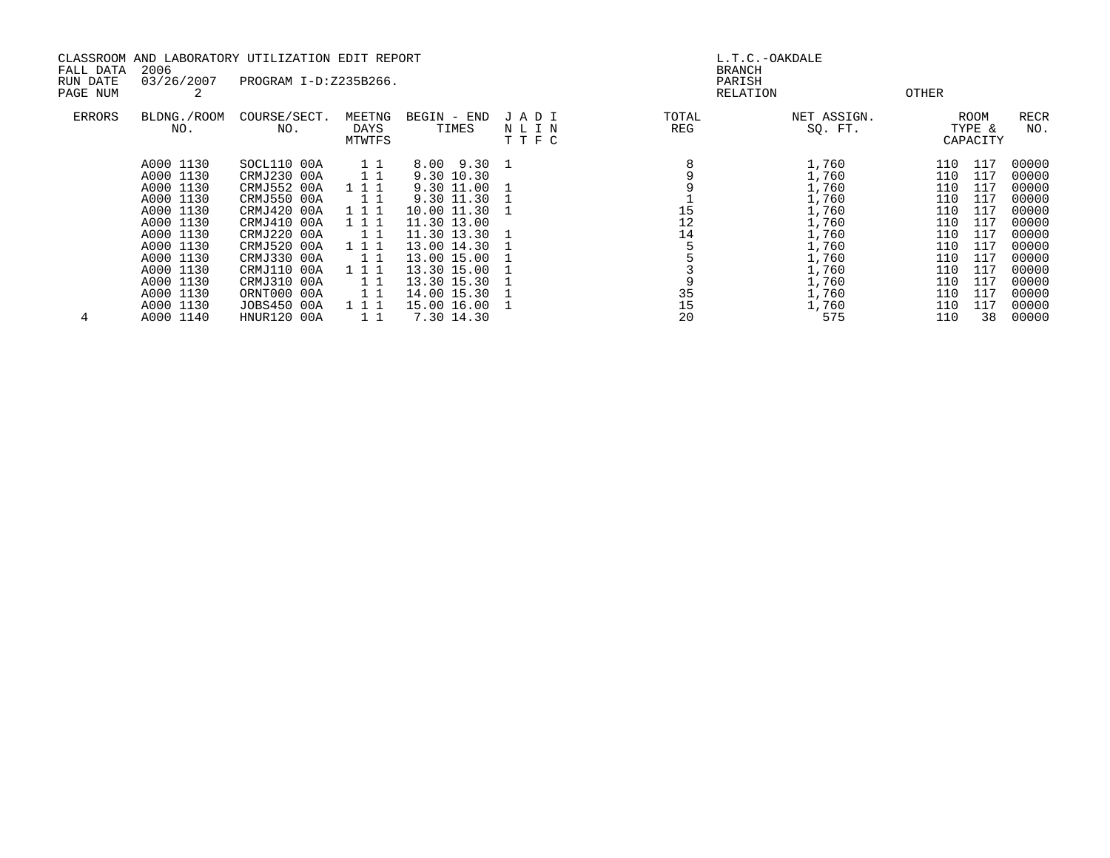| CLASSROOM AND LABORATORY UTILIZATION EDIT REPORT |                        |                            |                 |                            |      | L.T.C.-OAKDALE |                         |            |            |                |
|--------------------------------------------------|------------------------|----------------------------|-----------------|----------------------------|------|----------------|-------------------------|------------|------------|----------------|
| FALL DATA<br>RUN DATE                            | 2006<br>03/26/2007     | PROGRAM I-D:Z235B266.      |                 |                            |      |                | <b>BRANCH</b><br>PARISH |            |            |                |
| PAGE NUM                                         | 2                      |                            |                 |                            |      |                | RELATION                | OTHER      |            |                |
|                                                  |                        |                            |                 |                            |      |                |                         |            |            |                |
| <b>ERRORS</b>                                    | BLDNG./ROOM            | COURSE/SECT.               | MEETNG          | BEGIN - END                | JADI | TOTAL          | NET ASSIGN.             |            | ROOM       | RECR           |
|                                                  | NO.                    | NO.                        | DAYS            | TIMES                      | NLIN | REG            | SQ. FT.                 |            | TYPE &     | NO.            |
|                                                  |                        |                            | MTWTFS          |                            | TTFC |                |                         |            | CAPACITY   |                |
|                                                  | A000 1130              | SOCL110 00A                | 11              | 8.00 9.30 1                |      |                | 1,760                   | 110        | 117        | 00000          |
|                                                  | A000 1130              | CRMJ230 00A                | 1 1             | 9.30 10.30                 |      |                | 1,760                   | 110        | 117        | 00000          |
|                                                  | A000 1130              | CRMJ552 00A                | 111             | 9.30 11.00                 |      |                | 1,760                   | 110        | 117        | 00000          |
|                                                  | A000 1130              | CRMJ550 00A                | 11              | 9.30 11.30                 |      |                | 1,760                   | 110        | 117        | 00000          |
|                                                  | A000 1130              | CRMJ420 00A                | 111             | 10.00 11.30                |      | 15             | 1,760                   | 110        | 117        | 00000          |
|                                                  | A000 1130              | CRMJ410 00A                | 111             | 11.30 13.00                |      | 12             | 1,760                   | 110        | 117        | 00000          |
|                                                  | A000 1130              | CRMJ220 00A                | 11              | 11.30 13.30                |      | 14             | 1,760                   | 110        | 117        | 00000          |
|                                                  | A000 1130              | CRMJ520 00A                | 111             | 13.00 14.30                |      |                | 1,760                   | 110        | 117        | 00000          |
|                                                  | A000 1130              | CRMJ330 00A                | 11              | 13.00 15.00                |      |                | 1,760                   | 110        | 117        | 00000          |
|                                                  | A000 1130              | CRMJ110 00A                | 111             | 13.30 15.00                |      |                | 1,760                   | 110        | 117        | 00000          |
|                                                  | A000 1130<br>A000 1130 | CRMJ310 00A<br>ORNT000 00A | $1\quad1$<br>11 | 13.30 15.30<br>14.00 15.30 |      | 35             | 1,760<br>1,760          | 110<br>110 | 117<br>117 | 00000<br>00000 |
|                                                  | A000 1130              | JOBS450 00A                | 111             | 15.00 16.00                |      | 15             | 1,760                   | 110        | 117        | 00000          |
| 4                                                | A000 1140              | <b>HNUR120 00A</b>         | $1\quad1$       | 7.30 14.30                 |      | 20             | 575                     | 110        | 38         | 00000          |
|                                                  |                        |                            |                 |                            |      |                |                         |            |            |                |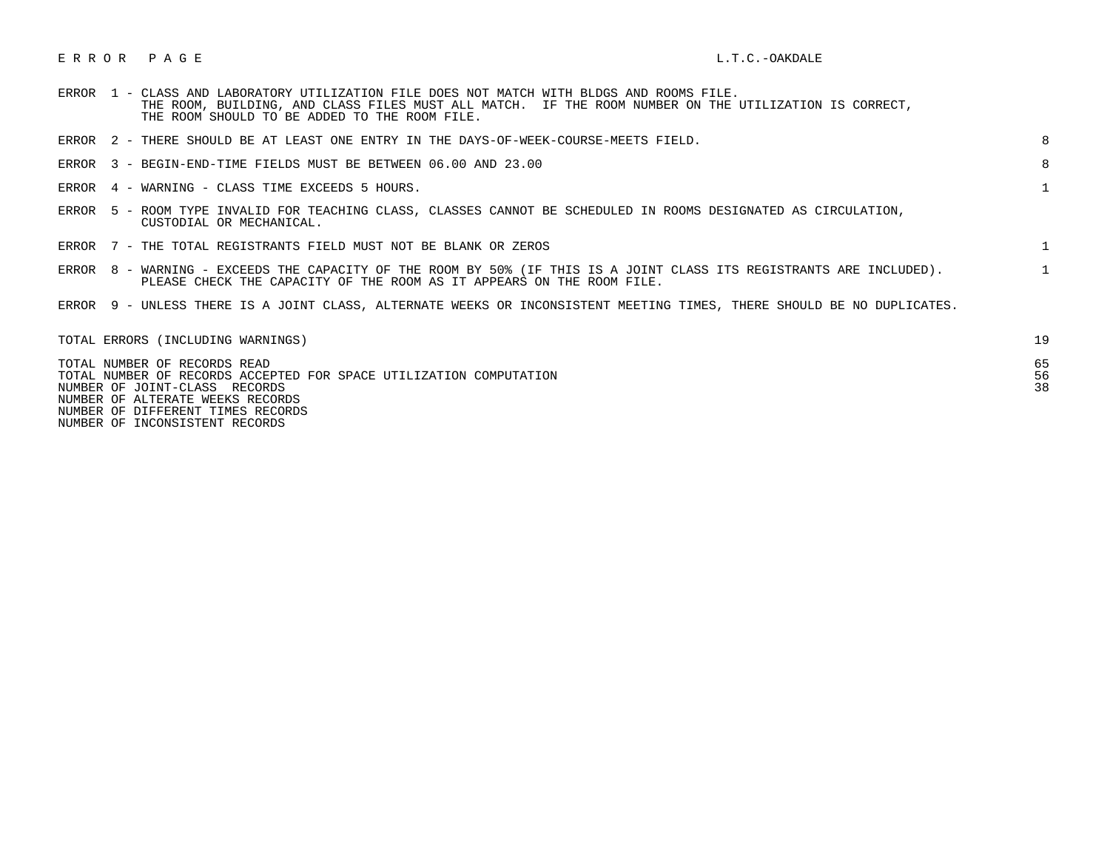## E R R O R P A G E L.T.C.-OAKDALE

| <b>ERROR</b> |  | 1 - CLASS AND LABORATORY UTILIZATION FILE DOES NOT MATCH WITH BLDGS AND ROOMS FILE. |  |  |  |  |                                                                                                       |  |
|--------------|--|-------------------------------------------------------------------------------------|--|--|--|--|-------------------------------------------------------------------------------------------------------|--|
|              |  |                                                                                     |  |  |  |  | THE ROOM, BUILDING, AND CLASS FILES MUST ALL MATCH. IF THE ROOM NUMBER ON THE UTILIZATION IS CORRECT, |  |
|              |  | THE ROOM SHOULD TO BE ADDED TO THE ROOM FILE.                                       |  |  |  |  |                                                                                                       |  |

| ERROR 2 - THERE SHOULD BE AT LEAST ONE ENTRY IN THE DAYS-OF-WEEK-COURSE-MEETS FIELD.                                                                                                          | 8              |
|-----------------------------------------------------------------------------------------------------------------------------------------------------------------------------------------------|----------------|
| ERROR 3 - BEGIN-END-TIME FIELDS MUST BE BETWEEN 06.00 AND 23.00                                                                                                                               | 8              |
| ERROR 4 - WARNING - CLASS TIME EXCEEDS 5 HOURS.                                                                                                                                               | 1              |
| ERROR 5 - ROOM TYPE INVALID FOR TEACHING CLASS, CLASSES CANNOT BE SCHEDULED IN ROOMS DESIGNATED AS CIRCULATION,<br>CUSTODIAL OR MECHANICAL.                                                   |                |
| ERROR 7 - THE TOTAL REGISTRANTS FIELD MUST NOT BE BLANK OR ZEROS                                                                                                                              |                |
| ERROR 8 - WARNING - EXCEEDS THE CAPACITY OF THE ROOM BY 50% (IF THIS IS A JOINT CLASS ITS REGISTRANTS ARE INCLUDED).<br>PLEASE CHECK THE CAPACITY OF THE ROOM AS IT APPEARS ON THE ROOM FILE. |                |
| ERROR 9 - UNLESS THERE IS A JOINT CLASS, ALTERNATE WEEKS OR INCONSISTENT MEETING TIMES, THERE SHOULD BE NO DUPLICATES.                                                                        |                |
| TOTAL ERRORS (INCLUDING WARNINGS)                                                                                                                                                             | 19             |
| TOTAL NUMBER OF RECORDS READ<br>TOTAL NUMBER OF RECORDS ACCEPTED FOR SPACE UTILIZATION COMPUTATION<br>NUMBER OF JOINT-CLASS RECORDS<br>NUMBER OF ALTERATE WEEKS RECORDS                       | 65<br>56<br>38 |

NUMBER OF DIFFERENT TIMES RECORDS

NUMBER OF INCONSISTENT RECORDS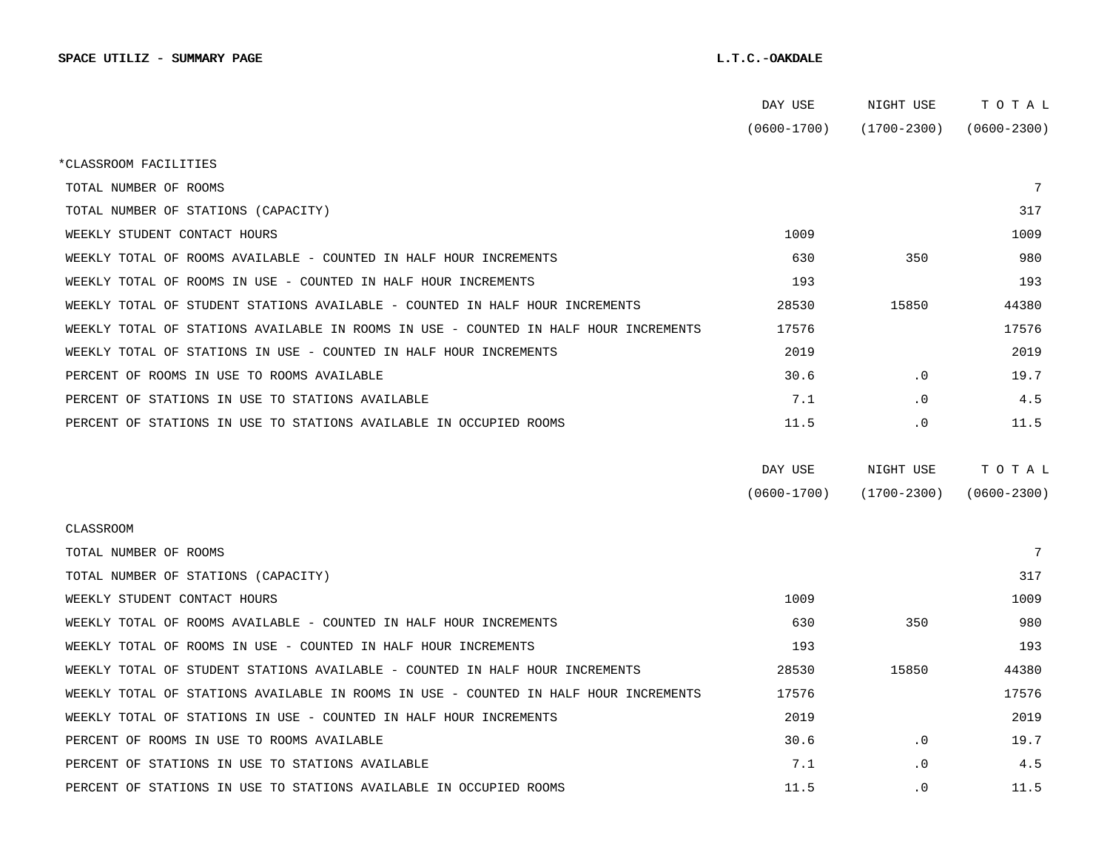|                                                                                      | DAY USE         | NIGHT USE       | TOTAL           |
|--------------------------------------------------------------------------------------|-----------------|-----------------|-----------------|
|                                                                                      | $(0600 - 1700)$ | (1700-2300)     | $(0600 - 2300)$ |
| *CLASSROOM FACILITIES                                                                |                 |                 |                 |
| TOTAL NUMBER OF ROOMS                                                                |                 |                 | 7               |
| TOTAL NUMBER OF STATIONS (CAPACITY)                                                  |                 |                 | 317             |
| WEEKLY STUDENT CONTACT HOURS                                                         | 1009            |                 | 1009            |
| WEEKLY TOTAL OF ROOMS AVAILABLE - COUNTED IN HALF HOUR INCREMENTS                    | 630             | 350             | 980             |
| WEEKLY TOTAL OF ROOMS IN USE - COUNTED IN HALF HOUR INCREMENTS                       | 193             |                 | 193             |
| WEEKLY TOTAL OF STUDENT STATIONS AVAILABLE - COUNTED IN HALF HOUR INCREMENTS         | 28530           | 15850           | 44380           |
| WEEKLY TOTAL OF STATIONS AVAILABLE IN ROOMS IN USE - COUNTED IN HALF HOUR INCREMENTS | 17576           |                 | 17576           |
| WEEKLY TOTAL OF STATIONS IN USE - COUNTED IN HALF HOUR INCREMENTS                    | 2019            |                 | 2019            |
| PERCENT OF ROOMS IN USE TO ROOMS AVAILABLE                                           | 30.6            | $\cdot$ 0       | 19.7            |
| PERCENT OF STATIONS IN USE TO STATIONS AVAILABLE                                     | 7.1             | $\cdot$ 0       | 4.5             |
| PERCENT OF STATIONS IN USE TO STATIONS AVAILABLE IN OCCUPIED ROOMS                   | 11.5            | . 0             | 11.5            |
|                                                                                      |                 |                 |                 |
|                                                                                      | DAY USE         | NIGHT USE       | TOTAL           |
|                                                                                      | $(0600 - 1700)$ | $(1700 - 2300)$ | $(0600 - 2300)$ |
| CLASSROOM                                                                            |                 |                 |                 |
| TOTAL NUMBER OF ROOMS                                                                |                 |                 | 7               |
| TOTAL NUMBER OF STATIONS (CAPACITY)                                                  |                 |                 | 317             |
| WEEKLY STUDENT CONTACT HOURS                                                         |                 |                 |                 |
|                                                                                      | 1009            |                 | 1009            |
| WEEKLY TOTAL OF ROOMS AVAILABLE - COUNTED IN HALF HOUR INCREMENTS                    | 630             | 350             | 980             |
| WEEKLY TOTAL OF ROOMS IN USE - COUNTED IN HALF HOUR INCREMENTS                       | 193             |                 | 193             |
| WEEKLY TOTAL OF STUDENT STATIONS AVAILABLE - COUNTED IN HALF HOUR INCREMENTS         | 28530           | 15850           | 44380           |
| WEEKLY TOTAL OF STATIONS AVAILABLE IN ROOMS IN USE - COUNTED IN HALF HOUR INCREMENTS | 17576           |                 | 17576           |
| WEEKLY TOTAL OF STATIONS IN USE - COUNTED IN HALF HOUR INCREMENTS                    | 2019            |                 | 2019            |
| PERCENT OF ROOMS IN USE TO ROOMS AVAILABLE                                           | 30.6            | $\cdot$ 0       | 19.7            |
| PERCENT OF STATIONS IN USE TO STATIONS AVAILABLE                                     | 7.1             | $\cdot$ 0       | 4.5             |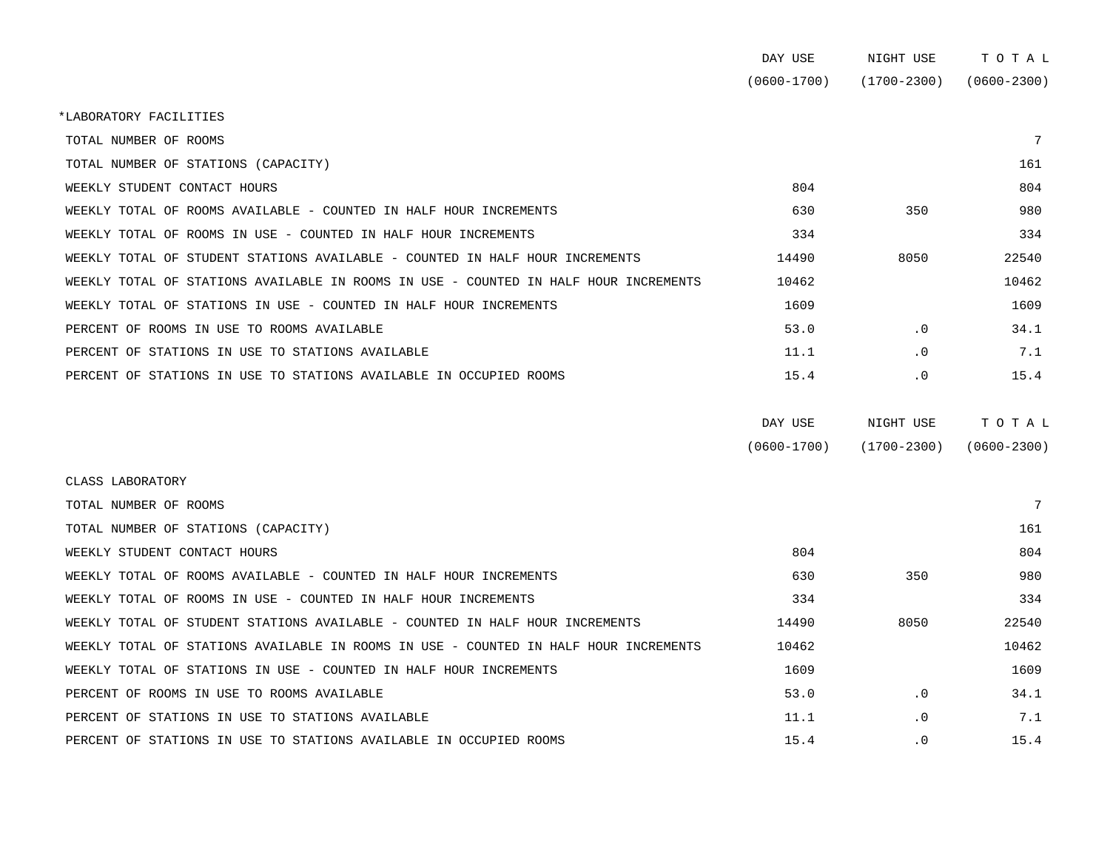|                                                                                      | DAY USE         | NIGHT USE       | TOTAL           |
|--------------------------------------------------------------------------------------|-----------------|-----------------|-----------------|
|                                                                                      | $(0600 - 1700)$ | $(1700 - 2300)$ | $(0600 - 2300)$ |
| *LABORATORY FACILITIES                                                               |                 |                 |                 |
| TOTAL NUMBER OF ROOMS                                                                |                 |                 |                 |
| TOTAL NUMBER OF STATIONS (CAPACITY)                                                  |                 |                 | 161             |
| WEEKLY STUDENT CONTACT HOURS                                                         | 804             |                 | 804             |
| WEEKLY TOTAL OF ROOMS AVAILABLE - COUNTED IN HALF HOUR INCREMENTS                    | 630             | 350             | 980             |
| WEEKLY TOTAL OF ROOMS IN USE - COUNTED IN HALF HOUR INCREMENTS                       | 334             |                 | 334             |
| WEEKLY TOTAL OF STUDENT STATIONS AVAILABLE - COUNTED IN HALF HOUR INCREMENTS         | 14490           | 8050            | 22540           |
| WEEKLY TOTAL OF STATIONS AVAILABLE IN ROOMS IN USE - COUNTED IN HALF HOUR INCREMENTS | 10462           |                 | 10462           |
| WEEKLY TOTAL OF STATIONS IN USE - COUNTED IN HALF HOUR INCREMENTS                    | 1609            |                 | 1609            |
| PERCENT OF ROOMS IN USE TO ROOMS AVAILABLE                                           | 53.0            | $\cdot$ 0       | 34.1            |
| PERCENT OF STATIONS IN USE TO STATIONS AVAILABLE                                     | 11.1            | $\cdot$ 0       | 7.1             |
| PERCENT OF STATIONS IN USE TO STATIONS AVAILABLE IN OCCUPIED ROOMS                   | 15.4            | $\cdot$ 0       | 15.4            |
|                                                                                      |                 |                 |                 |

| DAY USE         | NIGHT USE       | тотаь           |
|-----------------|-----------------|-----------------|
| $(0600 - 1700)$ | $(1700 - 2300)$ | $(0600 - 2300)$ |

| CLASS LABORATORY                                                                     |       |           |       |
|--------------------------------------------------------------------------------------|-------|-----------|-------|
| TOTAL NUMBER OF ROOMS                                                                |       |           |       |
| TOTAL NUMBER OF STATIONS (CAPACITY)                                                  |       |           | 161   |
| WEEKLY STUDENT CONTACT HOURS                                                         | 804   |           | 804   |
| WEEKLY TOTAL OF ROOMS AVAILABLE - COUNTED IN HALF HOUR INCREMENTS                    | 630   | 350       | 980   |
| WEEKLY TOTAL OF ROOMS IN USE - COUNTED IN HALF HOUR INCREMENTS                       | 334   |           | 334   |
| WEEKLY TOTAL OF STUDENT STATIONS AVAILABLE - COUNTED IN HALF HOUR INCREMENTS         | 14490 | 8050      | 22540 |
| WEEKLY TOTAL OF STATIONS AVAILABLE IN ROOMS IN USE - COUNTED IN HALF HOUR INCREMENTS | 10462 |           | 10462 |
| WEEKLY TOTAL OF STATIONS IN USE - COUNTED IN HALF HOUR INCREMENTS                    | 1609  |           | 1609  |
| PERCENT OF ROOMS IN USE TO ROOMS AVAILABLE                                           | 53.0  | $\cdot$ 0 | 34.1  |
| PERCENT OF STATIONS IN USE TO STATIONS AVAILABLE                                     | 11.1  | $\cdot$ 0 | 7.1   |
| PERCENT OF STATIONS IN USE TO STATIONS AVAILABLE IN OCCUPIED ROOMS                   | 15.4  | $\cdot$ 0 | 15.4  |